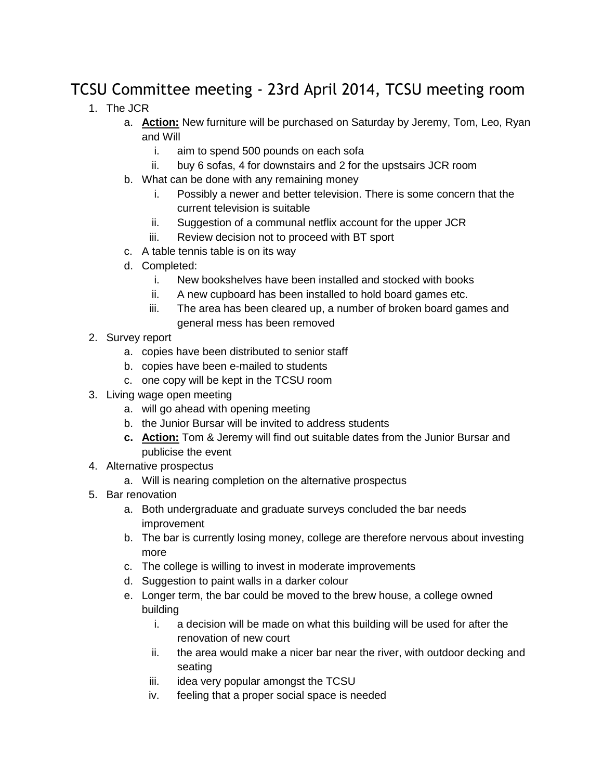## TCSU Committee meeting - 23rd April 2014, TCSU meeting room

- 1. The JCR
	- a. **Action:** New furniture will be purchased on Saturday by Jeremy, Tom, Leo, Ryan and Will
		- i. aim to spend 500 pounds on each sofa
		- ii. buy 6 sofas, 4 for downstairs and 2 for the upstsairs JCR room
	- b. What can be done with any remaining money
		- i. Possibly a newer and better television. There is some concern that the current television is suitable
		- ii. Suggestion of a communal netflix account for the upper JCR
		- iii. Review decision not to proceed with BT sport
	- c. A table tennis table is on its way
	- d. Completed:
		- i. New bookshelves have been installed and stocked with books
		- ii. A new cupboard has been installed to hold board games etc.
		- iii. The area has been cleared up, a number of broken board games and general mess has been removed
- 2. Survey report
	- a. copies have been distributed to senior staff
	- b. copies have been e-mailed to students
	- c. one copy will be kept in the TCSU room
- 3. Living wage open meeting
	- a. will go ahead with opening meeting
	- b. the Junior Bursar will be invited to address students
	- **c. Action:** Tom & Jeremy will find out suitable dates from the Junior Bursar and publicise the event
- 4. Alternative prospectus
	- a. Will is nearing completion on the alternative prospectus
- 5. Bar renovation
	- a. Both undergraduate and graduate surveys concluded the bar needs improvement
	- b. The bar is currently losing money, college are therefore nervous about investing more
	- c. The college is willing to invest in moderate improvements
	- d. Suggestion to paint walls in a darker colour
	- e. Longer term, the bar could be moved to the brew house, a college owned building
		- i. a decision will be made on what this building will be used for after the renovation of new court
		- ii. the area would make a nicer bar near the river, with outdoor decking and seating
		- iii. idea very popular amongst the TCSU
		- iv. feeling that a proper social space is needed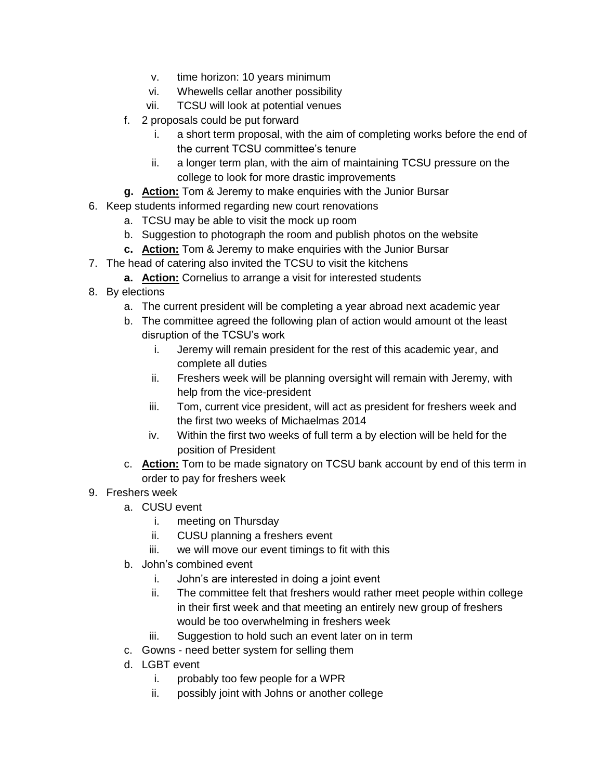- v. time horizon: 10 years minimum
- vi. Whewells cellar another possibility
- vii. TCSU will look at potential venues
- f. 2 proposals could be put forward
	- i. a short term proposal, with the aim of completing works before the end of the current TCSU committee's tenure
	- ii. a longer term plan, with the aim of maintaining TCSU pressure on the college to look for more drastic improvements
- **g. Action:** Tom & Jeremy to make enquiries with the Junior Bursar
- 6. Keep students informed regarding new court renovations
	- a. TCSU may be able to visit the mock up room
	- b. Suggestion to photograph the room and publish photos on the website
	- **c. Action:** Tom & Jeremy to make enquiries with the Junior Bursar
- 7. The head of catering also invited the TCSU to visit the kitchens
	- **a. Action:** Cornelius to arrange a visit for interested students
- 8. By elections
	- a. The current president will be completing a year abroad next academic year
	- b. The committee agreed the following plan of action would amount ot the least disruption of the TCSU's work
		- i. Jeremy will remain president for the rest of this academic year, and complete all duties
		- ii. Freshers week will be planning oversight will remain with Jeremy, with help from the vice-president
		- iii. Tom, current vice president, will act as president for freshers week and the first two weeks of Michaelmas 2014
		- iv. Within the first two weeks of full term a by election will be held for the position of President
	- c. **Action:** Tom to be made signatory on TCSU bank account by end of this term in order to pay for freshers week
- 9. Freshers week
	- a. CUSU event
		- i. meeting on Thursday
		- ii. CUSU planning a freshers event
		- iii. we will move our event timings to fit with this
	- b. John's combined event
		- i. John's are interested in doing a joint event
		- ii. The committee felt that freshers would rather meet people within college in their first week and that meeting an entirely new group of freshers would be too overwhelming in freshers week
		- iii. Suggestion to hold such an event later on in term
	- c. Gowns need better system for selling them
	- d. LGBT event
		- i. probably too few people for a WPR
		- ii. possibly joint with Johns or another college